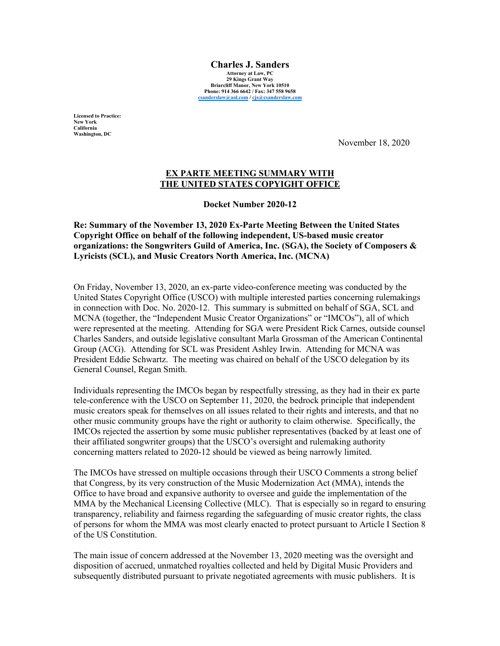**Charles J. Sanders Attorney at Law, PC 29 Kings Grant Way Briarcliff Manor, New York 10510 Phone: 914 366 6642 / Fax: 347 558 9658 csanderslaw@aol.com / cjs@csanderslaw.com**

**Licensed to Practice: New York California Washington, DC**

November 18, 2020

## **EX PARTE MEETING SUMMARY WITH THE UNITED STATES COPYIGHT OFFICE**

**Docket Number 2020-12**

**Re: Summary of the November 13, 2020 Ex-Parte Meeting Between the United States Copyright Office on behalf of the following independent, US-based music creator organizations: the Songwriters Guild of America, Inc. (SGA), the Society of Composers & Lyricists (SCL), and Music Creators North America, Inc. (MCNA)**

On Friday, November 13, 2020, an ex-parte video-conference meeting was conducted by the United States Copyright Office (USCO) with multiple interested parties concerning rulemakings in connection with Doc. No. 2020-12. This summary is submitted on behalf of SGA, SCL and MCNA (together, the "Independent Music Creator Organizations" or "IMCOs"), all of which were represented at the meeting. Attending for SGA were President Rick Carnes, outside counsel Charles Sanders, and outside legislative consultant Marla Grossman of the American Continental Group (ACG). Attending for SCL was President Ashley Irwin. Attending for MCNA was President Eddie Schwartz. The meeting was chaired on behalf of the USCO delegation by its General Counsel, Regan Smith.

Individuals representing the IMCOs began by respectfully stressing, as they had in their ex parte tele-conference with the USCO on September 11, 2020, the bedrock principle that independent music creators speak for themselves on all issues related to their rights and interests, and that no other music community groups have the right or authority to claim otherwise. Specifically, the IMCOs rejected the assertion by some music publisher representatives (backed by at least one of their affiliated songwriter groups) that the USCO's oversight and rulemaking authority concerning matters related to 2020-12 should be viewed as being narrowly limited.

The IMCOs have stressed on multiple occasions through their USCO Comments a strong belief that Congress, by its very construction of the Music Modernization Act (MMA), intends the Office to have broad and expansive authority to oversee and guide the implementation of the MMA by the Mechanical Licensing Collective (MLC). That is especially so in regard to ensuring transparency, reliability and fairness regarding the safeguarding of music creator rights, the class of persons for whom the MMA was most clearly enacted to protect pursuant to Article I Section 8 of the US Constitution.

The main issue of concern addressed at the November 13, 2020 meeting was the oversight and disposition of accrued, unmatched royalties collected and held by Digital Music Providers and subsequently distributed pursuant to private negotiated agreements with music publishers. It is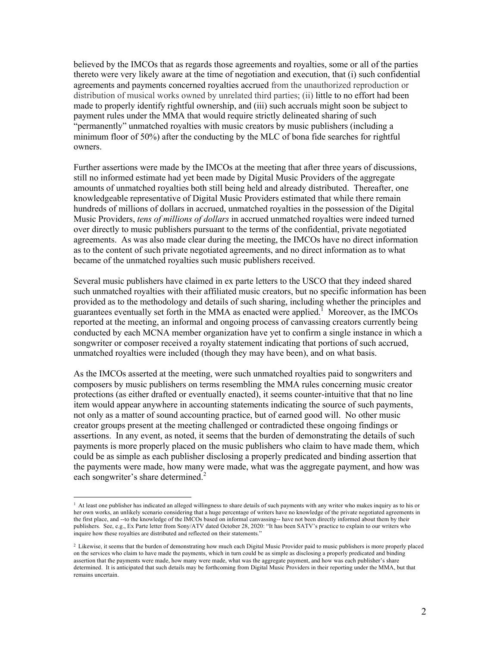believed by the IMCOs that as regards those agreements and royalties, some or all of the parties thereto were very likely aware at the time of negotiation and execution, that (i) such confidential agreements and payments concerned royalties accrued from the unauthorized reproduction or distribution of musical works owned by unrelated third parties; (ii) little to no effort had been made to properly identify rightful ownership, and (iii) such accruals might soon be subject to payment rules under the MMA that would require strictly delineated sharing of such "permanently" unmatched royalties with music creators by music publishers (including a minimum floor of 50%) after the conducting by the MLC of bona fide searches for rightful owners.

Further assertions were made by the IMCOs at the meeting that after three years of discussions, still no informed estimate had yet been made by Digital Music Providers of the aggregate amounts of unmatched royalties both still being held and already distributed. Thereafter, one knowledgeable representative of Digital Music Providers estimated that while there remain hundreds of millions of dollars in accrued, unmatched royalties in the possession of the Digital Music Providers, *tens of millions of dollars* in accrued unmatched royalties were indeed turned over directly to music publishers pursuant to the terms of the confidential, private negotiated agreements. As was also made clear during the meeting, the IMCOs have no direct information as to the content of such private negotiated agreements, and no direct information as to what became of the unmatched royalties such music publishers received.

Several music publishers have claimed in ex parte letters to the USCO that they indeed shared such unmatched royalties with their affiliated music creators, but no specific information has been provided as to the methodology and details of such sharing, including whether the principles and guarantees eventually set forth in the MMA as enacted were applied.<sup>1</sup> Moreover, as the IMCOs reported at the meeting, an informal and ongoing process of canvassing creators currently being conducted by each MCNA member organization have yet to confirm a single instance in which a songwriter or composer received a royalty statement indicating that portions of such accrued, unmatched royalties were included (though they may have been), and on what basis.

As the IMCOs asserted at the meeting, were such unmatched royalties paid to songwriters and composers by music publishers on terms resembling the MMA rules concerning music creator protections (as either drafted or eventually enacted), it seems counter-intuitive that that no line item would appear anywhere in accounting statements indicating the source of such payments, not only as a matter of sound accounting practice, but of earned good will. No other music creator groups present at the meeting challenged or contradicted these ongoing findings or assertions. In any event, as noted, it seems that the burden of demonstrating the details of such payments is more properly placed on the music publishers who claim to have made them, which could be as simple as each publisher disclosing a properly predicated and binding assertion that the payments were made, how many were made, what was the aggregate payment, and how was each songwriter's share determined.<sup>2</sup>

 $<sup>1</sup>$  At least one publisher has indicated an alleged willingness to share details of such payments with any writer who makes inquiry as to his or</sup> her own works, an unlikely scenario considering that a huge percentage of writers have no knowledge of the private negotiated agreements in the first place, and --to the knowledge of the IMCOs based on informal canvassing-- have not been directly informed about them by their publishers. See, e.g., Ex Parte letter from Sony/ATV dated October 28, 2020: "It has been SATV's practice to explain to our writers who inquire how these royalties are distributed and reflected on their statements."

<sup>2</sup> Likewise, it seems that the burden of demonstrating how much each Digital Music Provider paid to music publishers is more properly placed on the services who claim to have made the payments, which in turn could be as simple as disclosing a properly predicated and binding assertion that the payments were made, how many were made, what was the aggregate payment, and how was each publisher's share determined. It is anticipated that such details may be forthcoming from Digital Music Providers in their reporting under the MMA, but that remains uncertain.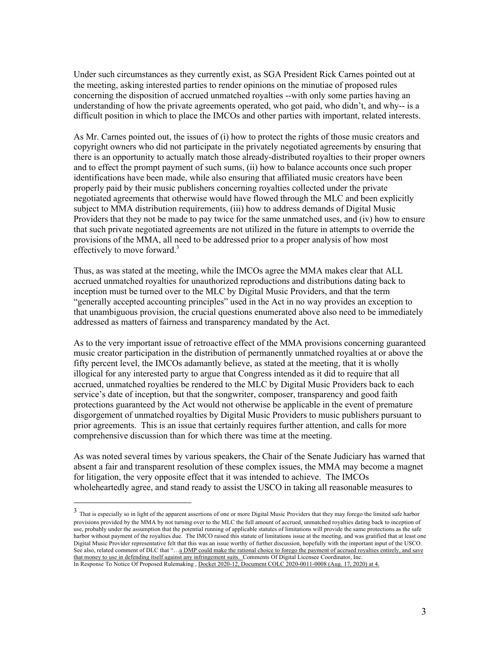Under such circumstances as they currently exist, as SGA President Rick Carnes pointed out at the meeting, asking interested parties to render opinions on the minutiae of proposed rules concerning the disposition of accrued unmatched royalties --with only some parties having an understanding of how the private agreements operated, who got paid, who didn't, and why-- is a difficult position in which to place the IMCOs and other parties with important, related interests.

As Mr. Carnes pointed out, the issues of (i) how to protect the rights of those music creators and copyright owners who did not participate in the privately negotiated agreements by ensuring that there is an opportunity to actually match those already-distributed royalties to their proper owners and to effect the prompt payment of such sums, (ii) how to balance accounts once such proper identifications have been made, while also ensuring that affiliated music creators have been properly paid by their music publishers concerning royalties collected under the private negotiated agreements that otherwise would have flowed through the MLC and been explicitly subject to MMA distribution requirements, (iii) how to address demands of Digital Music Providers that they not be made to pay twice for the same unmatched uses, and (iv) how to ensure that such private negotiated agreements are not utilized in the future in attempts to override the provisions of the MMA, all need to be addressed prior to a proper analysis of how most effectively to move forward. $3$ 

Thus, as was stated at the meeting, while the IMCOs agree the MMA makes clear that ALL accrued unmatched royalties for unauthorized reproductions and distributions dating back to inception must be turned over to the MLC by Digital Music Providers, and that the term "generally accepted accounting principles" used in the Act in no way provides an exception to that unambiguous provision, the crucial questions enumerated above also need to be immediately addressed as matters of fairness and transparency mandated by the Act.

As to the very important issue of retroactive effect of the MMA provisions concerning guaranteed music creator participation in the distribution of permanently unmatched royalties at or above the fifty percent level, the IMCOs adamantly believe, as stated at the meeting, that it is wholly illogical for any interested party to argue that Congress intended as it did to require that all accrued, unmatched royalties be rendered to the MLC by Digital Music Providers back to each service's date of inception, but that the songwriter, composer, transparency and good faith protections guaranteed by the Act would not otherwise be applicable in the event of premature disgorgement of unmatched royalties by Digital Music Providers to music publishers pursuant to prior agreements. This is an issue that certainly requires further attention, and calls for more comprehensive discussion than for which there was time at the meeting.

As was noted several times by various speakers, the Chair of the Senate Judiciary has warned that absent a fair and transparent resolution of these complex issues, the MMA may become a magnet for litigation, the very opposite effect that it was intended to achieve. The IMCOs wholeheartedly agree, and stand ready to assist the USCO in taking all reasonable measures to

<sup>&</sup>lt;sup>3</sup> That is especially so in light of the apparent assertions of one or more Digital Music Providers that they may forego the limited safe harbor provisions provided by the MMA by not turning over to the MLC the full amount of accrued, unmatched royalties dating back to inception of use, probably under the assumption that the potential running of applicable statutes of limitations will provide the same protections as the safe harbor without payment of the royalties due. The IMCO raised this statute of limitations issue at the meeting, and was gratified that at least one Digital Music Provider representative felt that this was an issue worthy of further discussion, hopefully with the important input of the USCO. See also, related comment of DLC that "...<u>a DMP could make the rational choice to forego the payment of accrued royalties entirely, and save</u> that money to use in defending itself against any infringement suits. Comments Of Digital Licensee Coordinator, Inc. In Response To Notice Of Proposed Rulemaking , Docket 2020-12, Document COLC 2020-0011-0008 (Aug. 17, 2020) at 4.